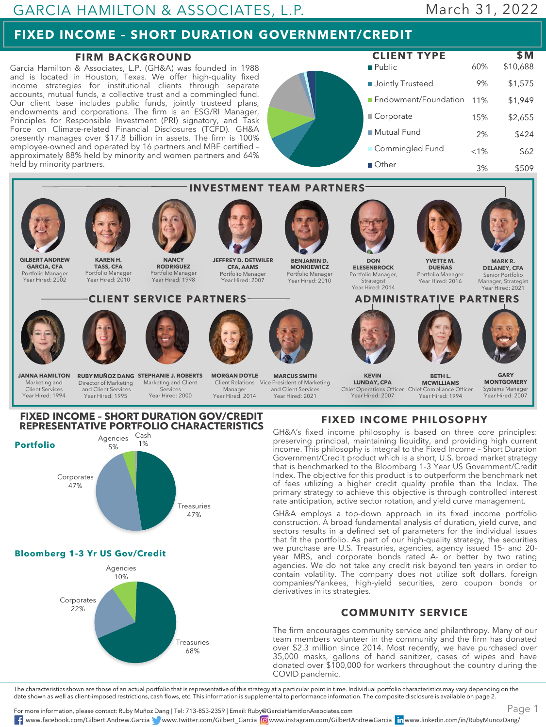# **FIXED INCOME – SHORT DURATION GOVERNMENT/CREDIT**

### **FIRM BACKGROUND**

Garcia Hamilton & Associates, L.P. (GH&A) was founded in 1988 and is located in Houston, Texas. We offer high-quality fixed income strategies for institutional clients through separate accounts, mutual funds, a collective trust and a commingled fund. Our client base includes public funds, jointly trusteed plans, endowments and corporations. The firm is an ESG/RI Manager, Principles for Responsible Investment (PRI) signatory, and Task Force on Climate-related Financial Disclosures (TCFD). GH&A presently manages over \$17.8 billion in assets. The firm is 100% employee-owned and operated by 16 partners and MBE certified – approximately 88% held by minority and women partners and 64% held by minority partners.

**Bloomberg 1-3 Yr US Gov/Credit**

Agencies 10%

Corporates 22%





GH&A employs a top-down approach in its fixed income portfolio construction. A broad fundamental analysis of duration, yield curve, and sectors results in a defined set of parameters for the individual issues that fit the portfolio. As part of our high-quality strategy, the securities we purchase are U.S. Treasuries, agencies, agency issued 15- and 20 year MBS, and corporate bonds rated A- or better by two rating agencies. We do not take any credit risk beyond ten years in order to contain volatility. The company does not utilize soft dollars, foreign companies/Yankees, high-yield securities, zero coupon bonds or derivatives in its strategies.

#### **COMMUNITY SERVICE**

The firm encourages community service and philanthropy. Many of our team members volunteer in the community and the firm has donated over \$2.3 million since 2014. Most recently, we have purchased over 35,000 masks, gallons of hand sanitizer, cases of wipes and have donated over \$100,000 for workers throughout the country during the COVID pandemic.

The characteristics shown are those of an actual portfolio that is representative of this strategy at a particular point in time. Individual portfolio characteristics may vary depending on the date shown as well as client-imposed restrictions, cash flows, etc. This information is supplemental to performance information. The composite disclosure is available on page 2.

For more information, please contact: Ruby Muñoz Dang | Tel: 713-853-2359 | Email: Ruby@GarciaHamitlonAssociates.com www.facebook.com/Gilbert.Andrew.Garcia www.twitter.com/Gilbert\_Garcia www.instagram.com/GilbertAndrewGarcia www.linkedin.com/in/RubyMunozDang/

47%

Treasuries 68%